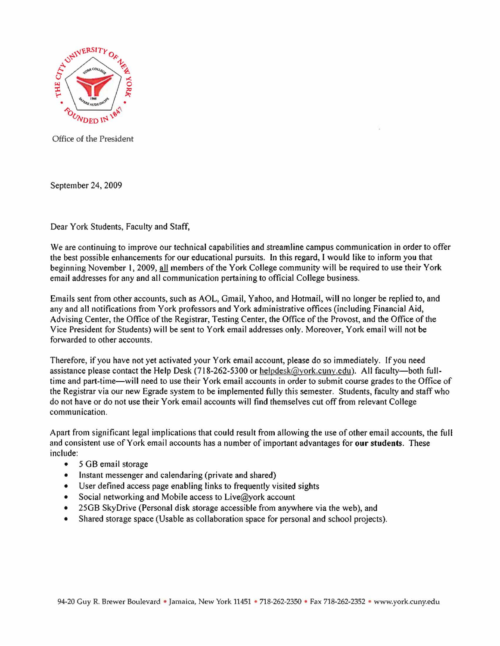

Office of the President

September 24, 2009

Dear York Students, Faculty and Staff,

We are continuing to improve our technical capabilities and streamline campus communication in order to offer the best possible enhancements for our educational pursuits. In this regard, I would like to inform you that beginning November I, 2009, all members of the York College community will be required to use their York email addresses for any and all communication pertaining to official College business.

Emails sent from other accounts, such as AOL, Gmail, Yahoo, and Hotmail, will no longer be replied to, and any and all notifications from York professors and York administrative offices (including Financial Aid, Advising Center, the Office of the Registrar, Testing Center, the Office ofthe Provost, and the Office of the Vice President for Students) will be sent to York email addresses only. Moreover, York email will not be forwarded to other accounts.

Therefore, if you have not yet activated your York email account, please do so immediately. If you need assistance please contact the Help Desk (718-262-5300 or helpdesk@york.cuny.edu). All faculty-both fulltime and part-time-will need to use their York email accounts in order to submit course grades to the Office of the Registrar via our new Egrade system to be implemented fully this semester. Students, faculty and staff who do not have or do not use their York email accounts will find themselves cut off from relevant College communication.

Apart from significant legal implications that could result from allowing the use of other email accounts, the full and consistent use of York email accounts has a number of important advantages for our students. These include:

- 5 GB email storage
- Instant messenger and calendaring (private and shared)
- User defined access page enabling links to frequently visited sights
- Social networking and Mobile access to Live@york account
- 25GB SkyDrive (Personal disk storage accessible from anywhere via the web), and
- Shared storage space (Usable as collaboration space for personal and school projects).